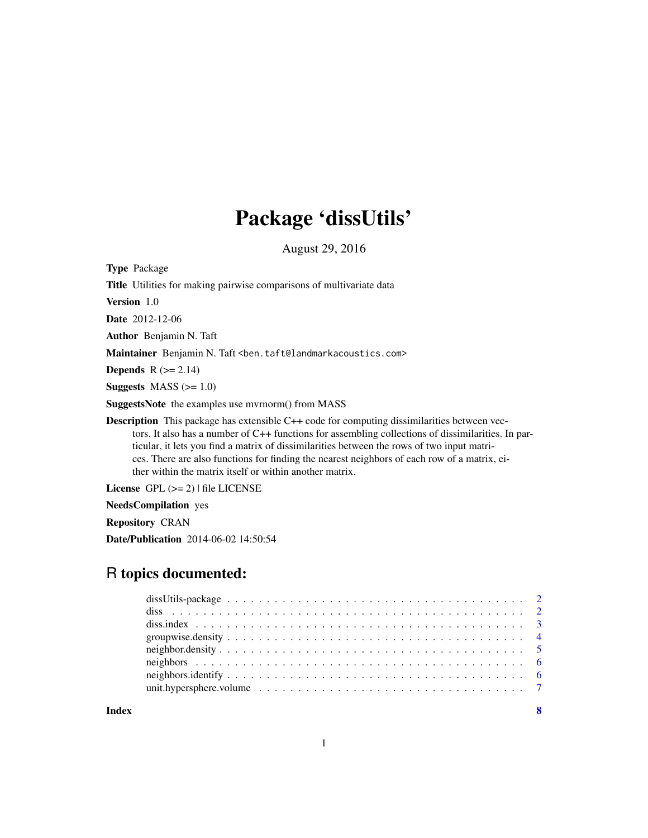## Package 'dissUtils'

August 29, 2016

<span id="page-0-0"></span>Type Package Title Utilities for making pairwise comparisons of multivariate data Version 1.0 Date 2012-12-06 Author Benjamin N. Taft Maintainer Benjamin N. Taft <ben.taft@landmarkacoustics.com> **Depends**  $R$  ( $>= 2.14$ ) Suggests  $MASS (> = 1.0)$ SuggestsNote the examples use mvrnorm() from MASS Description This package has extensible C++ code for computing dissimilarities between vectors. It also has a number of C++ functions for assembling collections of dissimilarities. In particular, it lets you find a matrix of dissimilarities between the rows of two input matrices. There are also functions for finding the nearest neighbors of each row of a matrix, either within the matrix itself or within another matrix.

License GPL  $(>= 2)$  | file LICENSE

NeedsCompilation yes

Repository CRAN

Date/Publication 2014-06-02 14:50:54

### R topics documented:

**Index** [8](#page-7-0) **8**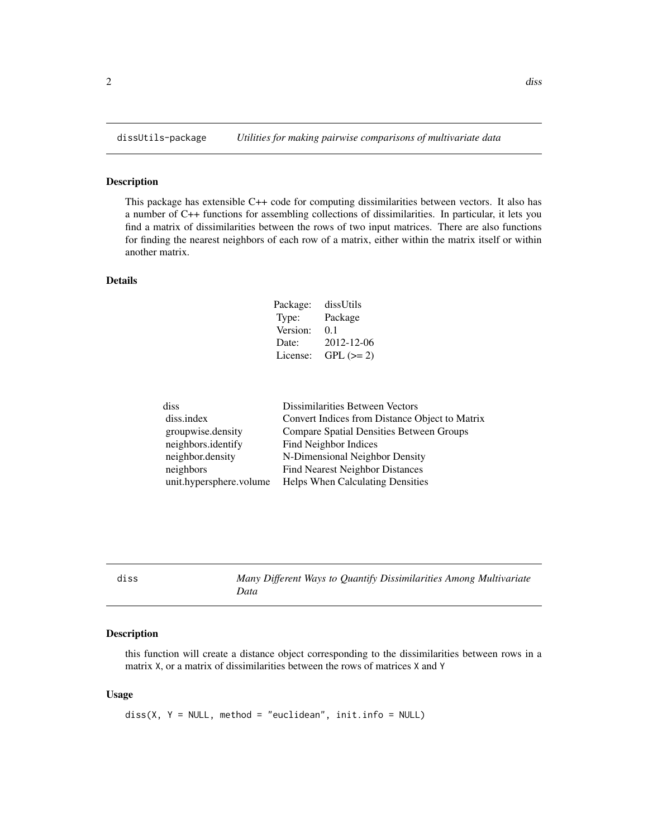<span id="page-1-0"></span>

#### Description

This package has extensible C++ code for computing dissimilarities between vectors. It also has a number of C++ functions for assembling collections of dissimilarities. In particular, it lets you find a matrix of dissimilarities between the rows of two input matrices. There are also functions for finding the nearest neighbors of each row of a matrix, either within the matrix itself or within another matrix.

#### Details

| Package: | dissUtils   |
|----------|-------------|
| Type:    | Package     |
| Version: | 0.1         |
| Date:    | 2012-12-06  |
| License: | $GPL (= 2)$ |

| diss                    | Dissimilarities Between Vectors                 |
|-------------------------|-------------------------------------------------|
| diss.index              | Convert Indices from Distance Object to Matrix  |
| groupwise.density       | <b>Compare Spatial Densities Between Groups</b> |
| neighbors.identify      | Find Neighbor Indices                           |
| neighbor.density        | N-Dimensional Neighbor Density                  |
| neighbors               | <b>Find Nearest Neighbor Distances</b>          |
| unit.hypersphere.volume | Helps When Calculating Densities                |

<span id="page-1-1"></span>diss *Many Different Ways to Quantify Dissimilarities Among Multivariate Data*

#### Description

this function will create a distance object corresponding to the dissimilarities between rows in a matrix X, or a matrix of dissimilarities between the rows of matrices X and Y

#### Usage

diss(X, Y = NULL, method = "euclidean", init.info = NULL)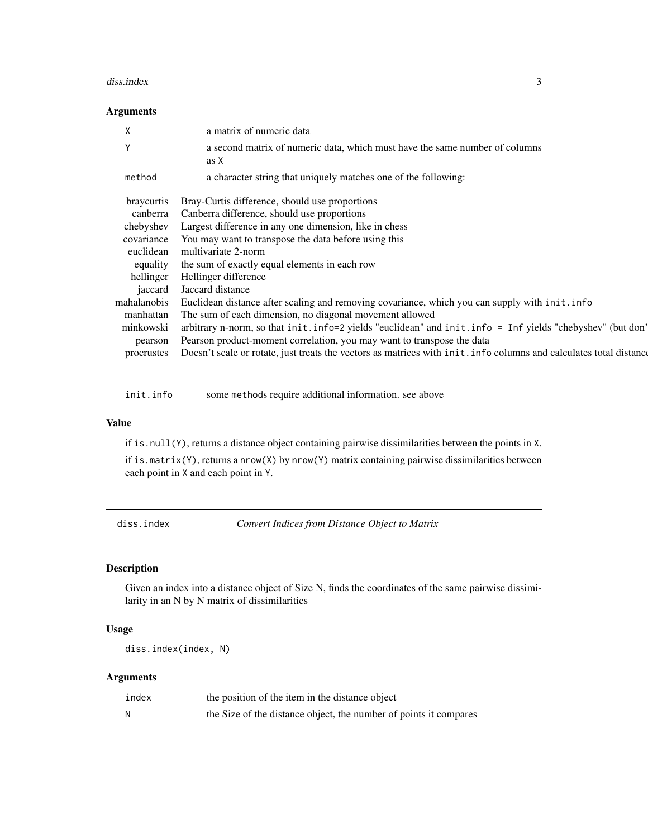#### <span id="page-2-0"></span>diss.index 3

#### Arguments

| X                 | a matrix of numeric data                                                                                           |
|-------------------|--------------------------------------------------------------------------------------------------------------------|
| Υ                 | a second matrix of numeric data, which must have the same number of columns<br>as X                                |
| method            | a character string that uniquely matches one of the following:                                                     |
| <b>braycurtis</b> | Bray-Curtis difference, should use proportions                                                                     |
| canberra          | Canberra difference, should use proportions                                                                        |
| chebyshev         | Largest difference in any one dimension, like in chess                                                             |
| covariance        | You may want to transpose the data before using this                                                               |
| euclidean         | multivariate 2-norm                                                                                                |
| equality          | the sum of exactly equal elements in each row                                                                      |
| hellinger         | Hellinger difference                                                                                               |
| jaccard           | Jaccard distance                                                                                                   |
| mahalanobis       | Euclidean distance after scaling and removing covariance, which you can supply with init. info                     |
| manhattan         | The sum of each dimension, no diagonal movement allowed                                                            |
| minkowski         | arbitrary n-norm, so that init.info=2 yields "euclidean" and init.info = Inf yields "chebyshev" (but don'          |
| pearson           | Pearson product-moment correlation, you may want to transpose the data                                             |
| procrustes        | Doesn't scale or rotate, just treats the vectors as matrices with init. info columns and calculates total distance |
|                   |                                                                                                                    |

init.info some methods require additional information. see above

#### Value

if is.null(Y), returns a distance object containing pairwise dissimilarities between the points in X.

if is.matrix(Y), returns a nrow(X) by nrow(Y) matrix containing pairwise dissimilarities between each point in X and each point in Y.

diss.index *Convert Indices from Distance Object to Matrix*

#### Description

Given an index into a distance object of Size N, finds the coordinates of the same pairwise dissimilarity in an N by N matrix of dissimilarities

#### Usage

diss.index(index, N)

#### Arguments

| index | the position of the item in the distance object                   |
|-------|-------------------------------------------------------------------|
| N     | the Size of the distance object, the number of points it compares |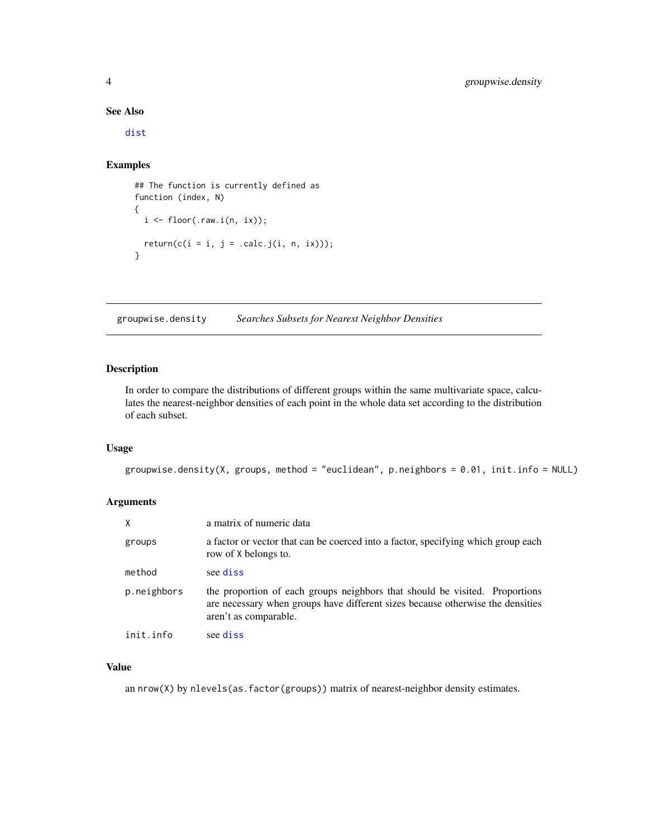#### See Also

[dist](#page-0-0)

#### Examples

```
## The function is currently defined as
function (index, N)
{
  i \leftarrow floor(.raw.i(n, ix));
 return(c(i = i, j = .calc.j(i, n, ix)));}
```
groupwise.density *Searches Subsets for Nearest Neighbor Densities*

#### Description

In order to compare the distributions of different groups within the same multivariate space, calculates the nearest-neighbor densities of each point in the whole data set according to the distribution of each subset.

#### Usage

```
groupwise.density(X, groups, method = "euclidean", p.neighbors = 0.01, init.info = NULL)
```
#### Arguments

| X           | a matrix of numeric data                                                                                                                                                               |
|-------------|----------------------------------------------------------------------------------------------------------------------------------------------------------------------------------------|
| groups      | a factor or vector that can be coerced into a factor, specifying which group each<br>row of X belongs to.                                                                              |
| method      | see diss                                                                                                                                                                               |
| p.neighbors | the proportion of each groups neighbors that should be visited. Proportions<br>are necessary when groups have different sizes because otherwise the densities<br>aren't as comparable. |
| init.info   | see diss                                                                                                                                                                               |

#### Value

an  $nrow(X)$  by  $nlevels(as.factor(groups))$  matrix of nearest-neighbor density estimates.

<span id="page-3-0"></span>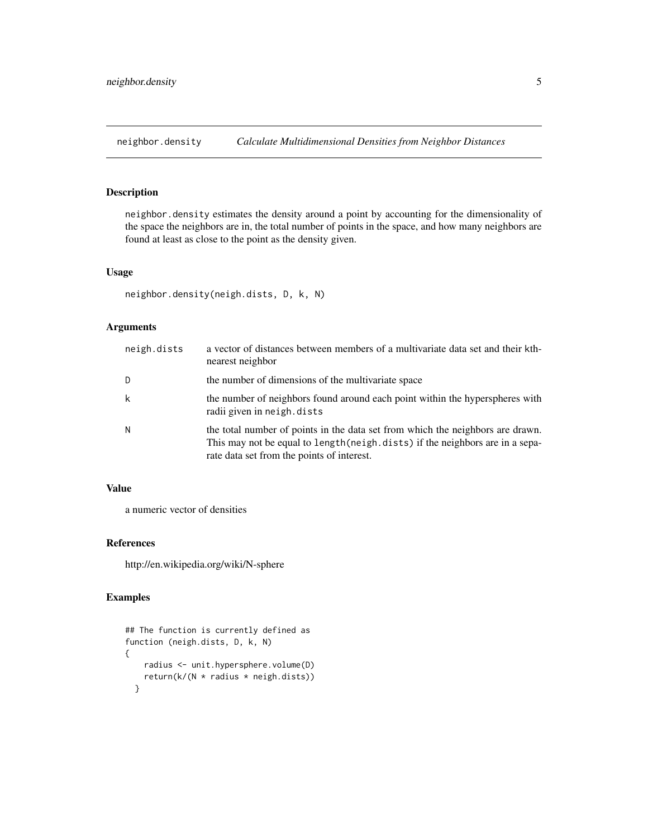<span id="page-4-0"></span>neighbor.density *Calculate Multidimensional Densities from Neighbor Distances*

#### Description

neighbor.density estimates the density around a point by accounting for the dimensionality of the space the neighbors are in, the total number of points in the space, and how many neighbors are found at least as close to the point as the density given.

#### Usage

```
neighbor.density(neigh.dists, D, k, N)
```
#### Arguments

| neigh.dists | a vector of distances between members of a multivariate data set and their kth-<br>nearest neighbor                                                                                                            |
|-------------|----------------------------------------------------------------------------------------------------------------------------------------------------------------------------------------------------------------|
| D           | the number of dimensions of the multivariate space                                                                                                                                                             |
| k           | the number of neighbors found around each point within the hyperspheres with<br>radii given in neigh.dists                                                                                                     |
| Ν           | the total number of points in the data set from which the neighbors are drawn.<br>This may not be equal to length (neigh. dists) if the neighbors are in a sepa-<br>rate data set from the points of interest. |

#### Value

a numeric vector of densities

#### References

http://en.wikipedia.org/wiki/N-sphere

#### Examples

```
## The function is currently defined as
function (neigh.dists, D, k, N)
{
   radius <- unit.hypersphere.volume(D)
   return(k/(N * radius * neigh.dists))
 }
```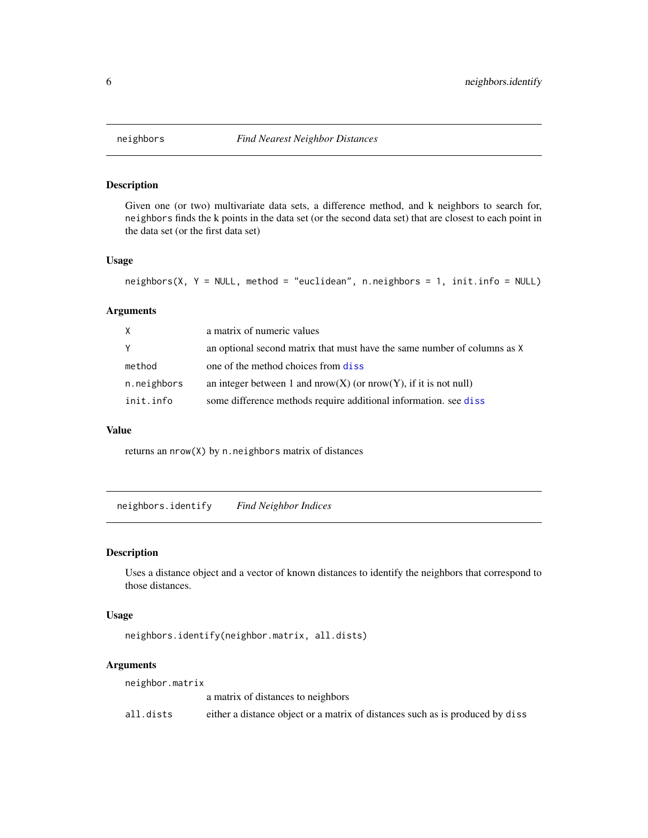<span id="page-5-0"></span>

#### Description

Given one (or two) multivariate data sets, a difference method, and k neighbors to search for, neighbors finds the k points in the data set (or the second data set) that are closest to each point in the data set (or the first data set)

#### Usage

```
neighbors(X, Y = NULL, method = "euclidean", n.neighbors = 1, init.info = NULL)
```
#### Arguments

| X           | a matrix of numeric values                                               |
|-------------|--------------------------------------------------------------------------|
| Y           | an optional second matrix that must have the same number of columns as X |
| method      | one of the method choices from diss                                      |
| n.neighbors | an integer between 1 and $nrow(X)$ (or $nrow(Y)$ , if it is not null)    |
| init.info   | some difference methods require additional information, see diss         |

#### Value

returns an nrow(X) by n.neighbors matrix of distances

neighbors.identify *Find Neighbor Indices*

#### Description

Uses a distance object and a vector of known distances to identify the neighbors that correspond to those distances.

#### Usage

```
neighbors.identify(neighbor.matrix, all.dists)
```
#### Arguments

| neighbor.matrix |                                                                               |
|-----------------|-------------------------------------------------------------------------------|
|                 | a matrix of distances to neighbors                                            |
| all.dists       | either a distance object or a matrix of distances such as is produced by diss |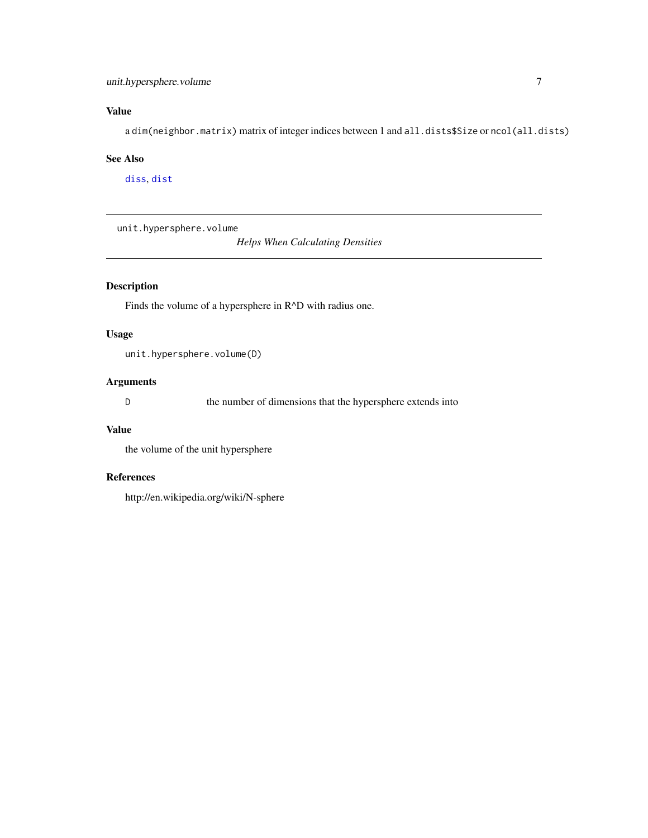#### <span id="page-6-0"></span>unit.hypersphere.volume 7

#### Value

a dim(neighbor.matrix) matrix of integer indices between 1 and all.dists\$Size or ncol(all.dists)

#### See Also

[diss](#page-1-1), [dist](#page-0-0)

unit.hypersphere.volume

*Helps When Calculating Densities*

#### Description

Finds the volume of a hypersphere in R^D with radius one.

#### Usage

unit.hypersphere.volume(D)

#### Arguments

D the number of dimensions that the hypersphere extends into

#### Value

the volume of the unit hypersphere

#### References

http://en.wikipedia.org/wiki/N-sphere